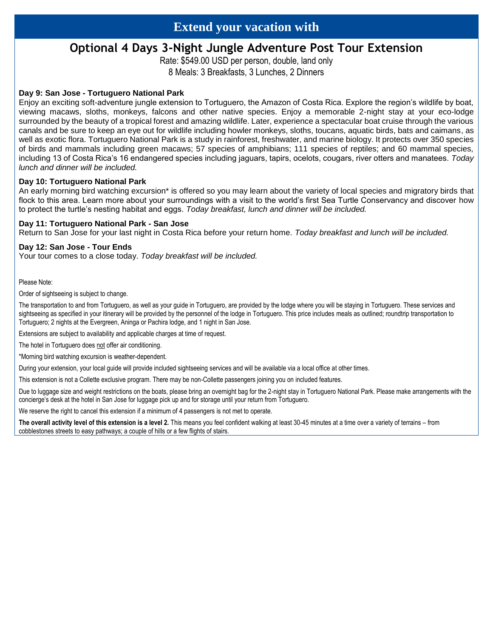# **Extend your vacation with**

## **Optional 4 Days 3-Night Jungle Adventure Post Tour Extension**

Rate: \$549.00 USD per person, double, land only 8 Meals: 3 Breakfasts, 3 Lunches, 2 Dinners

#### **Day 9: San Jose - Tortuguero National Park**

Enjoy an exciting soft-adventure jungle extension to Tortuguero, the Amazon of Costa Rica. Explore the region's wildlife by boat, viewing macaws, sloths, monkeys, falcons and other native species. Enjoy a memorable 2-night stay at your eco-lodge surrounded by the beauty of a tropical forest and amazing wildlife. Later, experience a spectacular boat cruise through the various canals and be sure to keep an eye out for wildlife including howler monkeys, sloths, toucans, aquatic birds, bats and caimans, as well as exotic flora. Tortuguero National Park is a study in rainforest, freshwater, and marine biology. It protects over 350 species of birds and mammals including green macaws; 57 species of amphibians; 111 species of reptiles; and 60 mammal species, including 13 of Costa Rica's 16 endangered species including jaguars, tapirs, ocelots, cougars, river otters and manatees. *Today lunch and dinner will be included.*

#### **Day 10: Tortuguero National Park**

An early morning bird watching excursion\* is offered so you may learn about the variety of local species and migratory birds that flock to this area. Learn more about your surroundings with a visit to the world's first Sea Turtle Conservancy and discover how to protect the turtle's nesting habitat and eggs. *Today breakfast, lunch and dinner will be included.*

#### **Day 11: Tortuguero National Park - San Jose**

Return to San Jose for your last night in Costa Rica before your return home. *Today breakfast and lunch will be included.*

#### **Day 12: San Jose - Tour Ends**

Your tour comes to a close today. *Today breakfast will be included.*

Please Note:

Order of sightseeing is subject to change.

The transportation to and from Tortuguero, as well as your guide in Tortuguero, are provided by the lodge where you will be staying in Tortuguero. These services and sightseeing as specified in your itinerary will be provided by the personnel of the lodge in Tortuguero. This price includes meals as outlined; roundtrip transportation to Tortuguero; 2 nights at the Evergreen, Aninga or Pachira lodge, and 1 night in San Jose.

Extensions are subject to availability and applicable charges at time of request.

The hotel in Tortuguero does not offer air conditioning.

\*Morning bird watching excursion is weather-dependent.

During your extension, your local guide will provide included sightseeing services and will be available via a local office at other times.

This extension is not a Collette exclusive program. There may be non-Collette passengers joining you on included features.

Due to luggage size and weight restrictions on the boats, please bring an overnight bag for the 2-night stay in Tortuguero National Park. Please make arrangements with the concierge's desk at the hotel in San Jose for luggage pick up and for storage until your return from Tortuguero.

We reserve the right to cancel this extension if a minimum of 4 passengers is not met to operate.

**The overall activity level of this extension is a level 2.** This means you feel confident walking at least 30-45 minutes at a time over a variety of terrains – from cobblestones streets to easy pathways; a couple of hills or a few flights of stairs.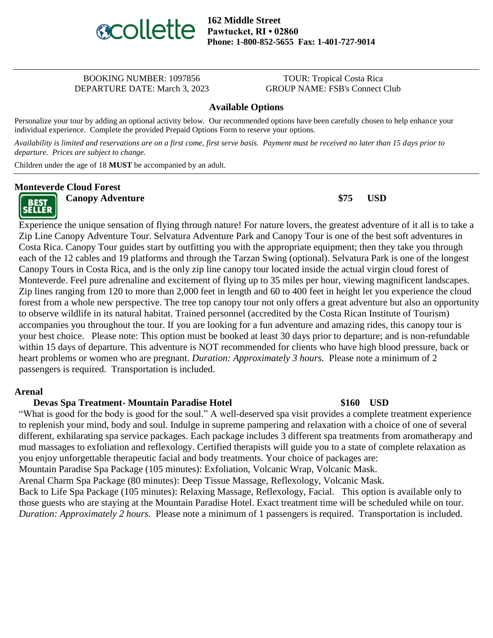

**162 Middle Street Pawtucket, RI • 02860 Phone: 1-800-852-5655 Fax: 1-401-727-9014**

#### BOOKING NUMBER: 1097856 TOUR: Tropical Costa Rica DEPARTURE DATE: March 3, 2023 GROUP NAME: FSB's Connect Club

#### **Available Options**

Personalize your tour by adding an optional activity below. Our recommended options have been carefully chosen to help enhance your individual experience. Complete the provided Prepaid Options Form to reserve your options.

*Availability is limited and reservations are on a first come, first serve basis. Payment must be received no later than 15 days prior to departure. Prices are subject to change.*

Children under the age of 18 **MUST** be accompanied by an adult.

#### **Monteverde Cloud Forest**

**BEST SELLER** 

**Canopy Adventure \$75 USD**

Experience the unique sensation of flying through nature! For nature lovers, the greatest adventure of it all is to take a Zip Line Canopy Adventure Tour. Selvatura Adventure Park and Canopy Tour is one of the best soft adventures in Costa Rica. Canopy Tour guides start by outfitting you with the appropriate equipment; then they take you through each of the 12 cables and 19 platforms and through the Tarzan Swing (optional). Selvatura Park is one of the longest Canopy Tours in Costa Rica, and is the only zip line canopy tour located inside the actual virgin cloud forest of Monteverde. Feel pure adrenaline and excitement of flying up to 35 miles per hour, viewing magnificent landscapes. Zip lines ranging from 120 to more than 2,000 feet in length and 60 to 400 feet in height let you experience the cloud forest from a whole new perspective. The tree top canopy tour not only offers a great adventure but also an opportunity to observe wildlife in its natural habitat. Trained personnel (accredited by the Costa Rican Institute of Tourism) accompanies you throughout the tour. If you are looking for a fun adventure and amazing rides, this canopy tour is your best choice. Please note: This option must be booked at least 30 days prior to departure; and is non-refundable within 15 days of departure. This adventure is NOT recommended for clients who have high blood pressure, back or heart problems or women who are pregnant. *Duration: Approximately 3 hours.* Please note a minimum of 2 passengers is required. Transportation is included.

#### **Arenal**

#### **Devas Spa Treatment- Mountain Paradise Hotel \$160 USD**

"What is good for the body is good for the soul." A well-deserved spa visit provides a complete treatment experience to replenish your mind, body and soul. Indulge in supreme pampering and relaxation with a choice of one of several different, exhilarating spa service packages. Each package includes 3 different spa treatments from aromatherapy and mud massages to exfoliation and reflexology. Certified therapists will guide you to a state of complete relaxation as you enjoy unforgettable therapeutic facial and body treatments. Your choice of packages are:

Mountain Paradise Spa Package (105 minutes): Exfoliation, Volcanic Wrap, Volcanic Mask.

Arenal Charm Spa Package (80 minutes): Deep Tissue Massage, Reflexology, Volcanic Mask.

Back to Life Spa Package (105 minutes): Relaxing Massage, Reflexology, Facial. This option is available only to those guests who are staying at the Mountain Paradise Hotel. Exact treatment time will be scheduled while on tour. *Duration: Approximately 2 hours.* Please note a minimum of 1 passengers is required. Transportation is included.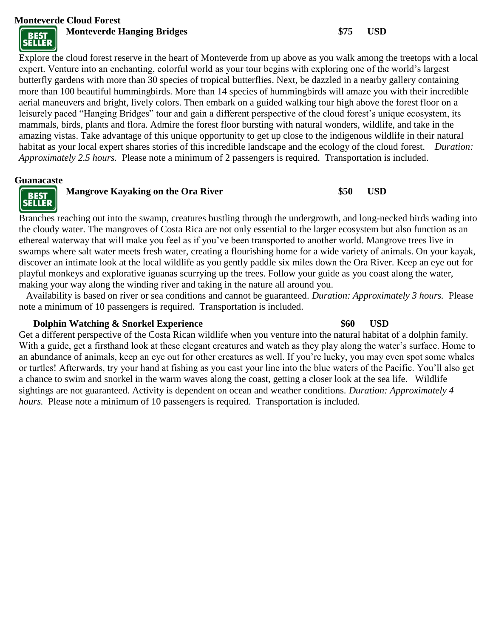**Monteverde Cloud Forest**



**Monteverde Hanging Bridges \$75 USD**

Explore the cloud forest reserve in the heart of Monteverde from up above as you walk among the treetops with a local expert. Venture into an enchanting, colorful world as your tour begins with exploring one of the world's largest butterfly gardens with more than 30 species of tropical butterflies. Next, be dazzled in a nearby gallery containing more than 100 beautiful hummingbirds. More than 14 species of hummingbirds will amaze you with their incredible aerial maneuvers and bright, lively colors. Then embark on a guided walking tour high above the forest floor on a leisurely paced "Hanging Bridges" tour and gain a different perspective of the cloud forest's unique ecosystem, its mammals, birds, plants and flora. Admire the forest floor bursting with natural wonders, wildlife, and take in the amazing vistas. Take advantage of this unique opportunity to get up close to the indigenous wildlife in their natural habitat as your local expert shares stories of this incredible landscape and the ecology of the cloud forest. *Duration: Approximately 2.5 hours.* Please note a minimum of 2 passengers is required. Transportation is included.

#### **Guanacaste**



### **Mangrove Kayaking on the Ora River \$50 USD**

Branches reaching out into the swamp, creatures bustling through the undergrowth, and long-necked birds wading into the cloudy water. The mangroves of Costa Rica are not only essential to the larger ecosystem but also function as an ethereal waterway that will make you feel as if you've been transported to another world. Mangrove trees live in swamps where salt water meets fresh water, creating a flourishing home for a wide variety of animals. On your kayak, discover an intimate look at the local wildlife as you gently paddle six miles down the Ora River. Keep an eye out for playful monkeys and explorative iguanas scurrying up the trees. Follow your guide as you coast along the water, making your way along the winding river and taking in the nature all around you.

 Availability is based on river or sea conditions and cannot be guaranteed. *Duration: Approximately 3 hours.* Please note a minimum of 10 passengers is required. Transportation is included.

#### **Dolphin Watching & Snorkel Experience \$60 USD**

Get a different perspective of the Costa Rican wildlife when you venture into the natural habitat of a dolphin family. With a guide, get a firsthand look at these elegant creatures and watch as they play along the water's surface. Home to an abundance of animals, keep an eye out for other creatures as well. If you're lucky, you may even spot some whales or turtles! Afterwards, try your hand at fishing as you cast your line into the blue waters of the Pacific. You'll also get a chance to swim and snorkel in the warm waves along the coast, getting a closer look at the sea life. Wildlife sightings are not guaranteed. Activity is dependent on ocean and weather conditions. *Duration: Approximately 4 hours.* Please note a minimum of 10 passengers is required. Transportation is included.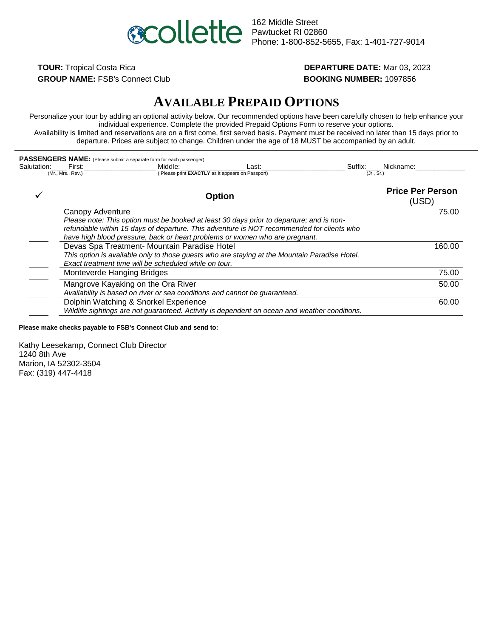

**GROUP NAME:** FSB's Connect Club **BOOKING NUMBER:** 1097856

# **TOUR:** Tropical Costa Rica **DEPARTURE DATE:** Mar 03, 2023

# **AVAILABLE PREPAID OPTIONS**

Personalize your tour by adding an optional activity below. Our recommended options have been carefully chosen to help enhance your individual experience. Complete the provided Prepaid Options Form to reserve your options. Availability is limited and reservations are on a first come, first served basis. Payment must be received no later than 15 days prior to departure. Prices are subject to change. Children under the age of 18 MUST be accompanied by an adult.

| Salutation: First:<br>(Mr., Mrs., Rev.)                                                                                                                                                                | PASSENGERS NAME: (Please submit a separate form for each passenger)<br>Middle:<br>(Please print EXACTLY as it appears on Passport)                                                                                                                                   | Last:         |  | Suffix: Nickname:<br>(Jr., Sr.)  |       |
|--------------------------------------------------------------------------------------------------------------------------------------------------------------------------------------------------------|----------------------------------------------------------------------------------------------------------------------------------------------------------------------------------------------------------------------------------------------------------------------|---------------|--|----------------------------------|-------|
|                                                                                                                                                                                                        |                                                                                                                                                                                                                                                                      |               |  |                                  |       |
|                                                                                                                                                                                                        |                                                                                                                                                                                                                                                                      | <b>Option</b> |  | <b>Price Per Person</b><br>(USD) |       |
| Canopy Adventure                                                                                                                                                                                       |                                                                                                                                                                                                                                                                      |               |  |                                  | 75.00 |
|                                                                                                                                                                                                        | Please note: This option must be booked at least 30 days prior to departure; and is non-<br>refundable within 15 days of departure. This adventure is NOT recommended for clients who<br>have high blood pressure, back or heart problems or women who are pregnant. |               |  |                                  |       |
| Devas Spa Treatment- Mountain Paradise Hotel<br>This option is available only to those guests who are staying at the Mountain Paradise Hotel.<br>Exact treatment time will be scheduled while on tour. |                                                                                                                                                                                                                                                                      | 160.00        |  |                                  |       |
| Monteverde Hanging Bridges                                                                                                                                                                             |                                                                                                                                                                                                                                                                      |               |  |                                  | 75.00 |
|                                                                                                                                                                                                        | Mangrove Kayaking on the Ora River<br>Availability is based on river or sea conditions and cannot be guaranteed.                                                                                                                                                     |               |  |                                  | 50.00 |
|                                                                                                                                                                                                        | Dolphin Watching & Snorkel Experience<br>Wildlife sightings are not guaranteed. Activity is dependent on ocean and weather conditions.                                                                                                                               |               |  |                                  | 60.00 |

**Please make checks payable to FSB's Connect Club and send to:**

Kathy Leesekamp, Connect Club Director 1240 8th Ave Marion, IA 52302-3504 Fax: (319) 447-4418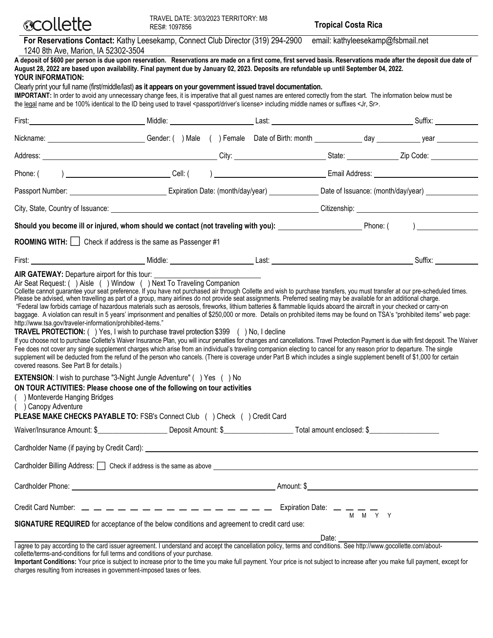| <b>ecollette</b>                                                                                                                                         | TRAVEL DATE: 3/03/2023 TERRITORY: M8<br>RES#: 1097856                                                                                                                                                                                                                                                                                                                                                                                                                                                                                                                                                                                                                                                                                                                                                                                                                                                                                                                                                                                                                                                                                                                                                                                                                                                                                                                                                                                 |  | <b>Tropical Costa Rica</b>        |         |
|----------------------------------------------------------------------------------------------------------------------------------------------------------|---------------------------------------------------------------------------------------------------------------------------------------------------------------------------------------------------------------------------------------------------------------------------------------------------------------------------------------------------------------------------------------------------------------------------------------------------------------------------------------------------------------------------------------------------------------------------------------------------------------------------------------------------------------------------------------------------------------------------------------------------------------------------------------------------------------------------------------------------------------------------------------------------------------------------------------------------------------------------------------------------------------------------------------------------------------------------------------------------------------------------------------------------------------------------------------------------------------------------------------------------------------------------------------------------------------------------------------------------------------------------------------------------------------------------------------|--|-----------------------------------|---------|
| 1240 8th Ave, Marion, IA 52302-3504                                                                                                                      | For Reservations Contact: Kathy Leesekamp, Connect Club Director (319) 294-2900                                                                                                                                                                                                                                                                                                                                                                                                                                                                                                                                                                                                                                                                                                                                                                                                                                                                                                                                                                                                                                                                                                                                                                                                                                                                                                                                                       |  | email: kathyleesekamp@fsbmail.net |         |
| YOUR INFORMATION:                                                                                                                                        | A deposit of \$600 per person is due upon reservation. Reservations are made on a first come, first served basis. Reservations made after the deposit due date of<br>August 28, 2022 are based upon availability. Final payment due by January 02, 2023. Deposits are refundable up until September 04, 2022.                                                                                                                                                                                                                                                                                                                                                                                                                                                                                                                                                                                                                                                                                                                                                                                                                                                                                                                                                                                                                                                                                                                         |  |                                   |         |
|                                                                                                                                                          | Clearly print your full name (first/middle/last) as it appears on your government issued travel documentation.<br>IMPORTANT: In order to avoid any unnecessary change fees, it is imperative that all guest names are entered correctly from the start. The information below must be<br>the legal name and be 100% identical to the ID being used to travel <passport driver's="" license=""> including middle names or suffixes <jr, sr="">.</jr,></passport>                                                                                                                                                                                                                                                                                                                                                                                                                                                                                                                                                                                                                                                                                                                                                                                                                                                                                                                                                                       |  |                                   |         |
|                                                                                                                                                          |                                                                                                                                                                                                                                                                                                                                                                                                                                                                                                                                                                                                                                                                                                                                                                                                                                                                                                                                                                                                                                                                                                                                                                                                                                                                                                                                                                                                                                       |  |                                   |         |
|                                                                                                                                                          | Nickname: <u>Community Community Community</u> Gender: ( ) Male ( ) Female Date of Birth: month community day community year community of the Community Community Community Community Community Community Community Community Commu                                                                                                                                                                                                                                                                                                                                                                                                                                                                                                                                                                                                                                                                                                                                                                                                                                                                                                                                                                                                                                                                                                                                                                                                   |  |                                   |         |
|                                                                                                                                                          |                                                                                                                                                                                                                                                                                                                                                                                                                                                                                                                                                                                                                                                                                                                                                                                                                                                                                                                                                                                                                                                                                                                                                                                                                                                                                                                                                                                                                                       |  |                                   |         |
|                                                                                                                                                          |                                                                                                                                                                                                                                                                                                                                                                                                                                                                                                                                                                                                                                                                                                                                                                                                                                                                                                                                                                                                                                                                                                                                                                                                                                                                                                                                                                                                                                       |  |                                   |         |
|                                                                                                                                                          | Passport Number: <u>Communical Communication Caternal Announce Communication</u> Caternal Charles Communication Date: (month/day/year) Caternal Charles Communication Date: (month/day/year) Communication Charles Communication Ch                                                                                                                                                                                                                                                                                                                                                                                                                                                                                                                                                                                                                                                                                                                                                                                                                                                                                                                                                                                                                                                                                                                                                                                                   |  |                                   |         |
|                                                                                                                                                          |                                                                                                                                                                                                                                                                                                                                                                                                                                                                                                                                                                                                                                                                                                                                                                                                                                                                                                                                                                                                                                                                                                                                                                                                                                                                                                                                                                                                                                       |  |                                   |         |
|                                                                                                                                                          | Should you become ill or injured, whom should we contact (not traveling with you): Noting the substitution of the Phone: (Campbell 2014)                                                                                                                                                                                                                                                                                                                                                                                                                                                                                                                                                                                                                                                                                                                                                                                                                                                                                                                                                                                                                                                                                                                                                                                                                                                                                              |  |                                   |         |
|                                                                                                                                                          | <b>ROOMING WITH:</b> $\Box$ Check if address is the same as Passenger #1                                                                                                                                                                                                                                                                                                                                                                                                                                                                                                                                                                                                                                                                                                                                                                                                                                                                                                                                                                                                                                                                                                                                                                                                                                                                                                                                                              |  |                                   |         |
|                                                                                                                                                          |                                                                                                                                                                                                                                                                                                                                                                                                                                                                                                                                                                                                                                                                                                                                                                                                                                                                                                                                                                                                                                                                                                                                                                                                                                                                                                                                                                                                                                       |  |                                   | Suffix: |
| AIR GATEWAY: Departure airport for this tour:<br>http://www.tsa.gov/traveler-information/prohibited-items."<br>covered reasons. See Part B for details.) | Air Seat Request: () Aisle () Window () Next To Traveling Companion<br>Collette cannot guarantee your seat preference. If you have not purchased air through Collette and wish to purchase transfers, you must transfer at our pre-scheduled times.<br>Please be advised, when travelling as part of a group, many airlines do not provide seat assignments. Preferred seating may be available for an additional charge.<br>"Federal law forbids carriage of hazardous materials such as aerosols, fireworks, lithium batteries & flammable liquids aboard the aircraft in your checked or carry-on<br>baggage. A violation can result in 5 years' imprisonment and penalties of \$250,000 or more. Details on prohibited items may be found on TSA's "prohibited items" web page:<br><b>TRAVEL PROTECTION:</b> () Yes, I wish to purchase travel protection \$399 () No, I decline<br>If you choose not to purchase Collette's Waiver Insurance Plan, you will incur penalties for changes and cancellations. Travel Protection Payment is due with first deposit. The Waiver<br>Fee does not cover any single supplement charges which arise from an individual's traveling companion electing to cancel for any reason prior to departure. The single<br>supplement will be deducted from the refund of the person who cancels. (There is coverage under Part B which includes a single supplement benefit of \$1,000 for certain |  |                                   |         |
| () Monteverde Hanging Bridges<br>() Canopy Adventure                                                                                                     | <b>EXTENSION:</b> I wish to purchase "3-Night Jungle Adventure" () Yes () No<br>ON TOUR ACTIVITIES: Please choose one of the following on tour activities<br>PLEASE MAKE CHECKS PAYABLE TO: FSB's Connect Club () Check () Credit Card                                                                                                                                                                                                                                                                                                                                                                                                                                                                                                                                                                                                                                                                                                                                                                                                                                                                                                                                                                                                                                                                                                                                                                                                |  |                                   |         |
|                                                                                                                                                          |                                                                                                                                                                                                                                                                                                                                                                                                                                                                                                                                                                                                                                                                                                                                                                                                                                                                                                                                                                                                                                                                                                                                                                                                                                                                                                                                                                                                                                       |  |                                   |         |
|                                                                                                                                                          |                                                                                                                                                                                                                                                                                                                                                                                                                                                                                                                                                                                                                                                                                                                                                                                                                                                                                                                                                                                                                                                                                                                                                                                                                                                                                                                                                                                                                                       |  |                                   |         |
|                                                                                                                                                          | Cardholder Billing Address: <u>[</u> ] Check if address is the same as above <b>[1] All and a structure of the same as above [1]</b> Character and a structure of the same as above <b>[1]</b> Character and a structure of the structure of                                                                                                                                                                                                                                                                                                                                                                                                                                                                                                                                                                                                                                                                                                                                                                                                                                                                                                                                                                                                                                                                                                                                                                                          |  |                                   |         |
|                                                                                                                                                          |                                                                                                                                                                                                                                                                                                                                                                                                                                                                                                                                                                                                                                                                                                                                                                                                                                                                                                                                                                                                                                                                                                                                                                                                                                                                                                                                                                                                                                       |  |                                   |         |
|                                                                                                                                                          |                                                                                                                                                                                                                                                                                                                                                                                                                                                                                                                                                                                                                                                                                                                                                                                                                                                                                                                                                                                                                                                                                                                                                                                                                                                                                                                                                                                                                                       |  |                                   |         |
|                                                                                                                                                          |                                                                                                                                                                                                                                                                                                                                                                                                                                                                                                                                                                                                                                                                                                                                                                                                                                                                                                                                                                                                                                                                                                                                                                                                                                                                                                                                                                                                                                       |  |                                   |         |

**SIGNATURE REQUIRED** for acceptance of the below conditions and agreement to credit card use:

Date:

I agree to pay according to the card issuer agreement. I understand and accept the cancellation policy, terms and conditions. See http://www.gocollette.com/aboutcollette/terms-and-conditions for full terms and conditions of your purchase.

**Important Conditions:** Your price is subject to increase prior to the time you make full payment. Your price is not subject to increase after you make full payment, except for charges resulting from increases in government-imposed taxes or fees.